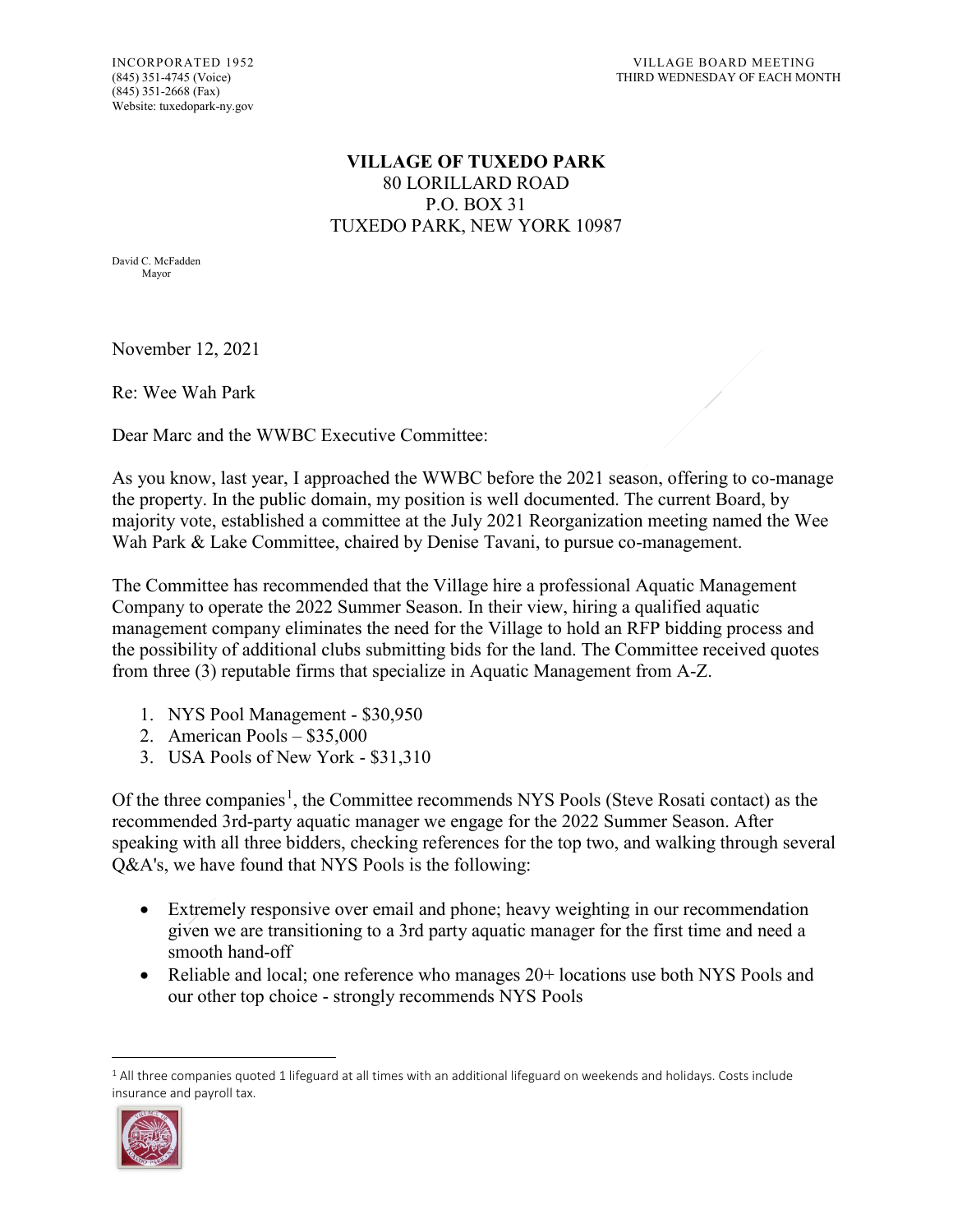## **VILLAGE OF TUXEDO PARK** 80 LORILLARD ROAD P.O. BOX 31 TUXEDO PARK, NEW YORK 10987

David C. McFadden Mayor

November 12, 2021

Re: Wee Wah Park

Dear Marc and the WWBC Executive Committee:

As you know, last year, I approached the WWBC before the 2021 season, offering to co-manage the property. In the public domain, my position is well documented. The current Board, by majority vote, established a committee at the July 2021 Reorganization meeting named the Wee Wah Park & Lake Committee, chaired by Denise Tavani, to pursue co-management.

The Committee has recommended that the Village hire a professional Aquatic Management Company to operate the 2022 Summer Season. In their view, hiring a qualified aquatic management company eliminates the need for the Village to hold an RFP bidding process and the possibility of additional clubs submitting bids for the land. The Committee received quotes from three (3) reputable firms that specialize in Aquatic Management from A-Z.

- 1. NYS Pool Management \$30,950
- 2. American Pools \$35,000
- 3. USA Pools of New York \$31,310

Of the three companies<sup>[1](#page-0-0)</sup>, the Committee recommends NYS Pools (Steve Rosati contact) as the recommended 3rd-party aquatic manager we engage for the 2022 Summer Season. After speaking with all three bidders, checking references for the top two, and walking through several Q&A's, we have found that NYS Pools is the following:

- Extremely responsive over email and phone; heavy weighting in our recommendation given we are transitioning to a 3rd party aquatic manager for the first time and need a smooth hand-off
- Reliable and local; one reference who manages 20+ locations use both NYS Pools and our other top choice - strongly recommends NYS Pools

<span id="page-0-0"></span> $\overline{a}$ <sup>1</sup> All three companies quoted 1 lifeguard at all times with an additional lifeguard on weekends and holidays. Costs include insurance and payroll tax.

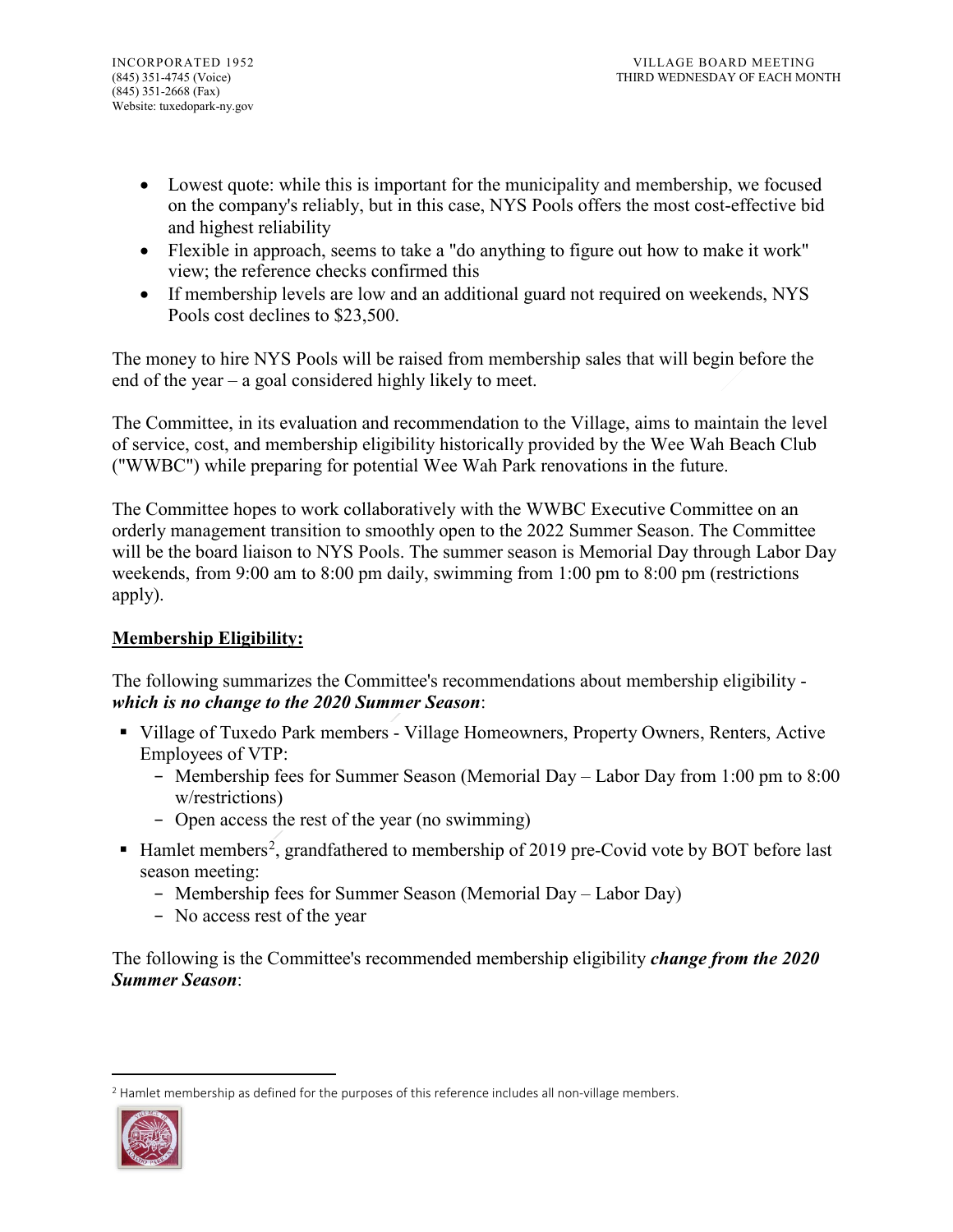- Lowest quote: while this is important for the municipality and membership, we focused on the company's reliably, but in this case, NYS Pools offers the most cost-effective bid and highest reliability
- Flexible in approach, seems to take a "do anything to figure out how to make it work" view; the reference checks confirmed this
- If membership levels are low and an additional guard not required on weekends, NYS Pools cost declines to \$23,500.

The money to hire NYS Pools will be raised from membership sales that will begin before the end of the year – a goal considered highly likely to meet.

The Committee, in its evaluation and recommendation to the Village, aims to maintain the level of service, cost, and membership eligibility historically provided by the Wee Wah Beach Club ("WWBC") while preparing for potential Wee Wah Park renovations in the future.

The Committee hopes to work collaboratively with the WWBC Executive Committee on an orderly management transition to smoothly open to the 2022 Summer Season. The Committee will be the board liaison to NYS Pools. The summer season is Memorial Day through Labor Day weekends, from 9:00 am to 8:00 pm daily, swimming from 1:00 pm to 8:00 pm (restrictions apply).

## **Membership Eligibility:**

The following summarizes the Committee's recommendations about membership eligibility *which is no change to the 2020 Summer Season*:

- Village of Tuxedo Park members Village Homeowners, Property Owners, Renters, Active Employees of VTP:
	- − Membership fees for Summer Season (Memorial Day Labor Day from 1:00 pm to 8:00 w/restrictions)
	- − Open access the rest of the year (no swimming)
- $\blacksquare$  Hamlet members<sup>[2](#page-1-0)</sup>, grandfathered to membership of 2019 pre-Covid vote by BOT before last season meeting:
	- − Membership fees for Summer Season (Memorial Day Labor Day)
	- − No access rest of the year

The following is the Committee's recommended membership eligibility *change from the 2020 Summer Season*:

<span id="page-1-0"></span> $\ddot{\phantom{a}}$ <sup>2</sup> Hamlet membership as defined for the purposes of this reference includes all non-village members.